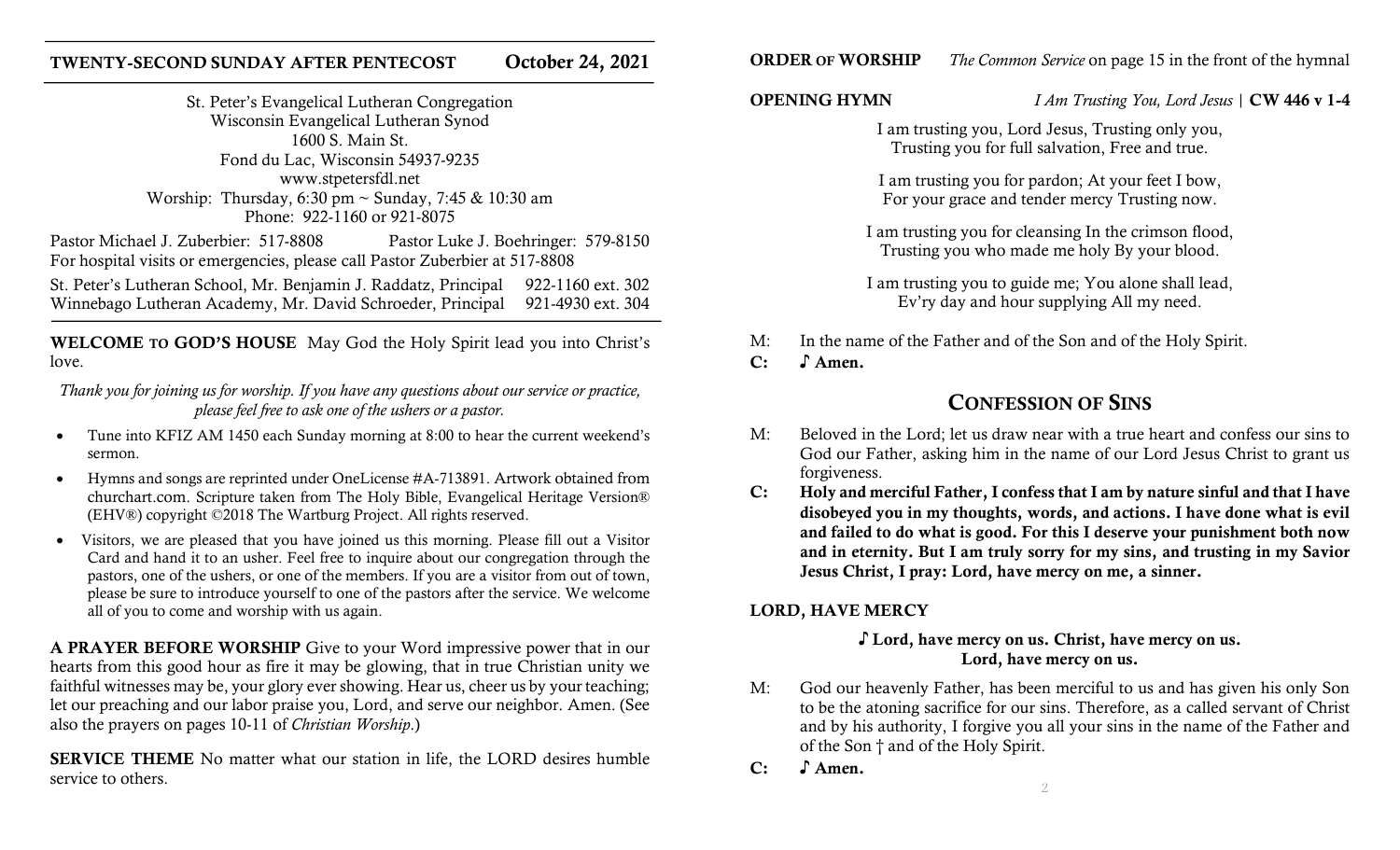# TWENTY-SECOND SUNDAY AFTER PENTECOST October 24, 2021

St. Peter's Evangelical Lutheran Congregation Wisconsin Evangelical Lutheran Synod 1600 S. Main St. Fond du Lac, Wisconsin 54937-9235 www.stpetersfdl.net Worship: Thursday, 6:30 pm  $\sim$  Sunday, 7:45 & 10:30 am Phone: 922-1160 or 921-8075

Pastor Michael J. Zuberbier: 517-8808 Pastor Luke J. Boehringer: 579-8150 For hospital visits or emergencies, please call Pastor Zuberbier at 517-8808

St. Peter's Lutheran School, Mr. Benjamin J. Raddatz, Principal 922-1160 ext. 302 Winnebago Lutheran Academy, Mr. David Schroeder, Principal 921-4930 ext. 304

WELCOME TO GOD'S HOUSE May God the Holy Spirit lead you into Christ's love.

Thank you for joining us for worship. If you have any questions about our service or practice, please feel free to ask one of the ushers or a pastor.

- Tune into KFIZ AM 1450 each Sunday morning at 8:00 to hear the current weekend's sermon.
- Hymns and songs are reprinted under OneLicense #A-713891. Artwork obtained from churchart.com. Scripture taken from The Holy Bible, Evangelical Heritage Version® (EHV®) copyright ©2018 The Wartburg Project. All rights reserved.
- Visitors, we are pleased that you have joined us this morning. Please fill out a Visitor Card and hand it to an usher. Feel free to inquire about our congregation through the pastors, one of the ushers, or one of the members. If you are a visitor from out of town, please be sure to introduce yourself to one of the pastors after the service. We welcome all of you to come and worship with us again.

A PRAYER BEFORE WORSHIP Give to your Word impressive power that in our hearts from this good hour as fire it may be glowing, that in true Christian unity we faithful witnesses may be, your glory ever showing. Hear us, cheer us by your teaching; let our preaching and our labor praise you, Lord, and serve our neighbor. Amen. (See also the prayers on pages 10-11 of Christian Worship.)

SERVICE THEME No matter what our station in life, the LORD desires humble service to others.

**ORDER OF WORSHIP** The Common Service on page 15 in the front of the hymnal

OPENING HYMN *I Am Trusting You, Lord Jesus* | CW 446 v 1-4

I am trusting you, Lord Jesus, Trusting only you, Trusting you for full salvation, Free and true.

I am trusting you for pardon; At your feet I bow, For your grace and tender mercy Trusting now.

I am trusting you for cleansing In the crimson flood, Trusting you who made me holy By your blood.

I am trusting you to guide me; You alone shall lead, Ev'ry day and hour supplying All my need.

- M: In the name of the Father and of the Son and of the Holy Spirit.
- C: ♪ Amen.

# CONFESSION OF SINS

- M: Beloved in the Lord; let us draw near with a true heart and confess our sins to God our Father, asking him in the name of our Lord Jesus Christ to grant us forgiveness.
- C: Holy and merciful Father, I confess that I am by nature sinful and that I have disobeyed you in my thoughts, words, and actions. I have done what is evil and failed to do what is good. For this I deserve your punishment both now and in eternity. But I am truly sorry for my sins, and trusting in my Savior Jesus Christ, I pray: Lord, have mercy on me, a sinner.

# LORD, HAVE MERCY

# ♪ Lord, have mercy on us. Christ, have mercy on us. Lord, have mercy on us.

- M: God our heavenly Father, has been merciful to us and has given his only Son to be the atoning sacrifice for our sins. Therefore, as a called servant of Christ and by his authority, I forgive you all your sins in the name of the Father and of the Son † and of the Holy Spirit.
- C: S Amen.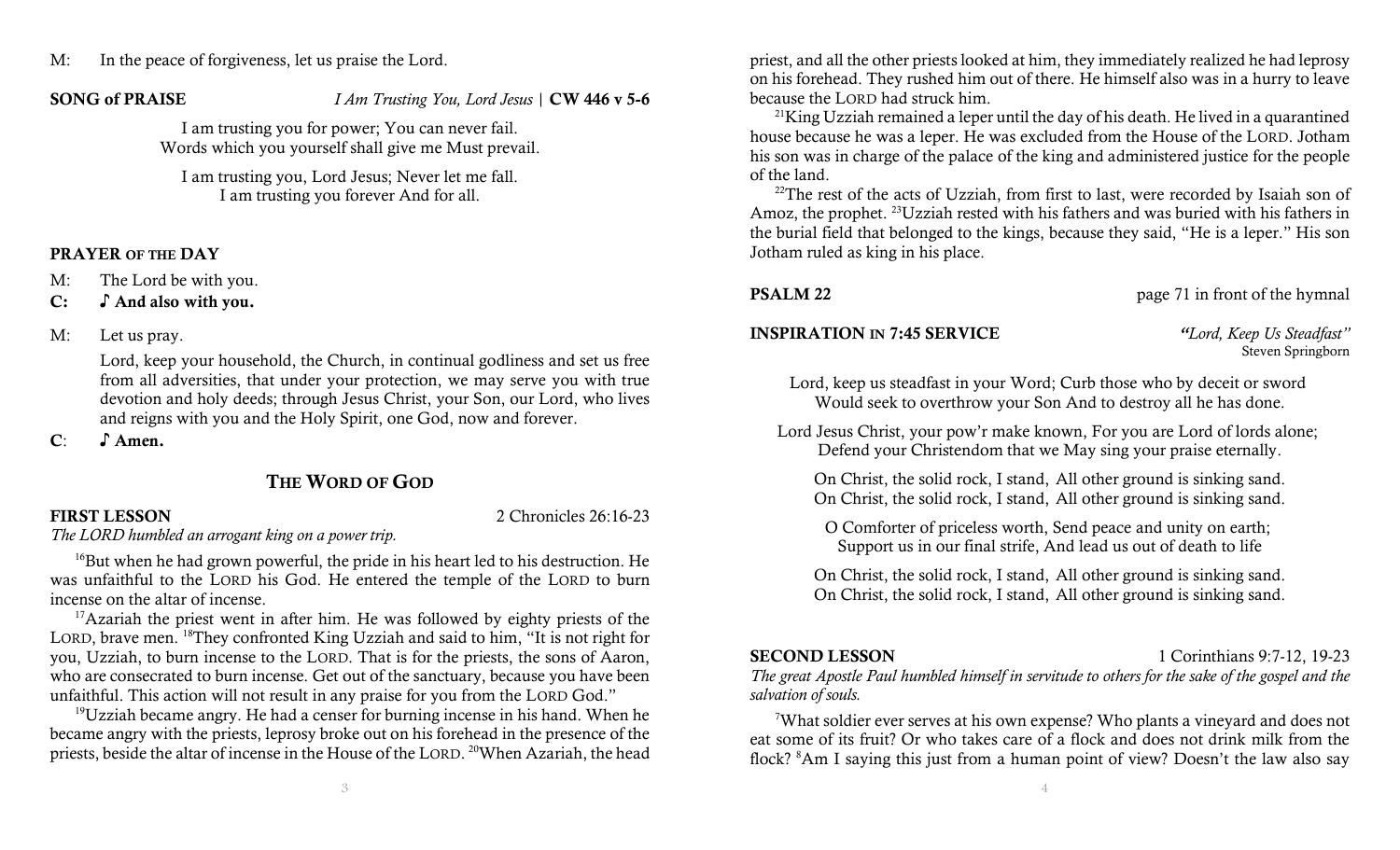# M: In the peace of forgiveness, let us praise the Lord.

SONG of PRAISE *I Am Trusting You, Lord Jesus* | CW 446 v 5-6

I am trusting you for power; You can never fail. Words which you yourself shall give me Must prevail.

I am trusting you, Lord Jesus; Never let me fall. I am trusting you forever And for all.

## PRAYER OF THE DAY

- M: The Lord be with you.
- C: ♪ And also with you.
- M: Let us pray.

 Lord, keep your household, the Church, in continual godliness and set us free from all adversities, that under your protection, we may serve you with true devotion and holy deeds; through Jesus Christ, your Son, our Lord, who lives and reigns with you and the Holy Spirit, one God, now and forever.

C: S Amen.

# THE WORD OF GOD

FIRST LESSON 2 Chronicles 26:16-23

The LORD humbled an arrogant king on a power trip.

<sup>16</sup>But when he had grown powerful, the pride in his heart led to his destruction. He was unfaithful to the LORD his God. He entered the temple of the LORD to burn incense on the altar of incense.

<sup>17</sup>Azariah the priest went in after him. He was followed by eighty priests of the LORD, brave men. <sup>18</sup>They confronted King Uzziah and said to him, "It is not right for you, Uzziah, to burn incense to the LORD. That is for the priests, the sons of Aaron, who are consecrated to burn incense. Get out of the sanctuary, because you have been unfaithful. This action will not result in any praise for you from the LORD God."

 $19$ Uzziah became angry. He had a censer for burning incense in his hand. When he became angry with the priests, leprosy broke out on his forehead in the presence of the priests, beside the altar of incense in the House of the LORD. <sup>20</sup>When Azariah, the head

priest, and all the other priests looked at him, they immediately realized he had leprosy on his forehead. They rushed him out of there. He himself also was in a hurry to leave because the LORD had struck him.

 $21$ King Uzziah remained a leper until the day of his death. He lived in a quarantined house because he was a leper. He was excluded from the House of the LORD. Jotham his son was in charge of the palace of the king and administered justice for the people of the land.

<sup>22</sup>The rest of the acts of Uzziah, from first to last, were recorded by Isaiah son of Amoz, the prophet. <sup>23</sup>Uzziah rested with his fathers and was buried with his fathers in the burial field that belonged to the kings, because they said, "He is a leper." His son Jotham ruled as king in his place.

**PSALM 22** page 71 in front of the hymnal

# INSPIRATION IN 7:45 SERVICE "Lord, Keep Us Steadfast"

Steven Springborn

Lord, keep us steadfast in your Word; Curb those who by deceit or sword Would seek to overthrow your Son And to destroy all he has done.

Lord Jesus Christ, your pow'r make known, For you are Lord of lords alone; Defend your Christendom that we May sing your praise eternally.

On Christ, the solid rock, I stand, All other ground is sinking sand. On Christ, the solid rock, I stand, All other ground is sinking sand.

O Comforter of priceless worth, Send peace and unity on earth; Support us in our final strife, And lead us out of death to life

On Christ, the solid rock, I stand, All other ground is sinking sand. On Christ, the solid rock, I stand, All other ground is sinking sand.

SECOND LESSON 1 Corinthians 9:7-12, 19-23

The great Apostle Paul humbled himself in servitude to others for the sake of the gospel and the salvation of souls.

<sup>7</sup>What soldier ever serves at his own expense? Who plants a vineyard and does not eat some of its fruit? Or who takes care of a flock and does not drink milk from the flock? 8Am I saying this just from a human point of view? Doesn't the law also say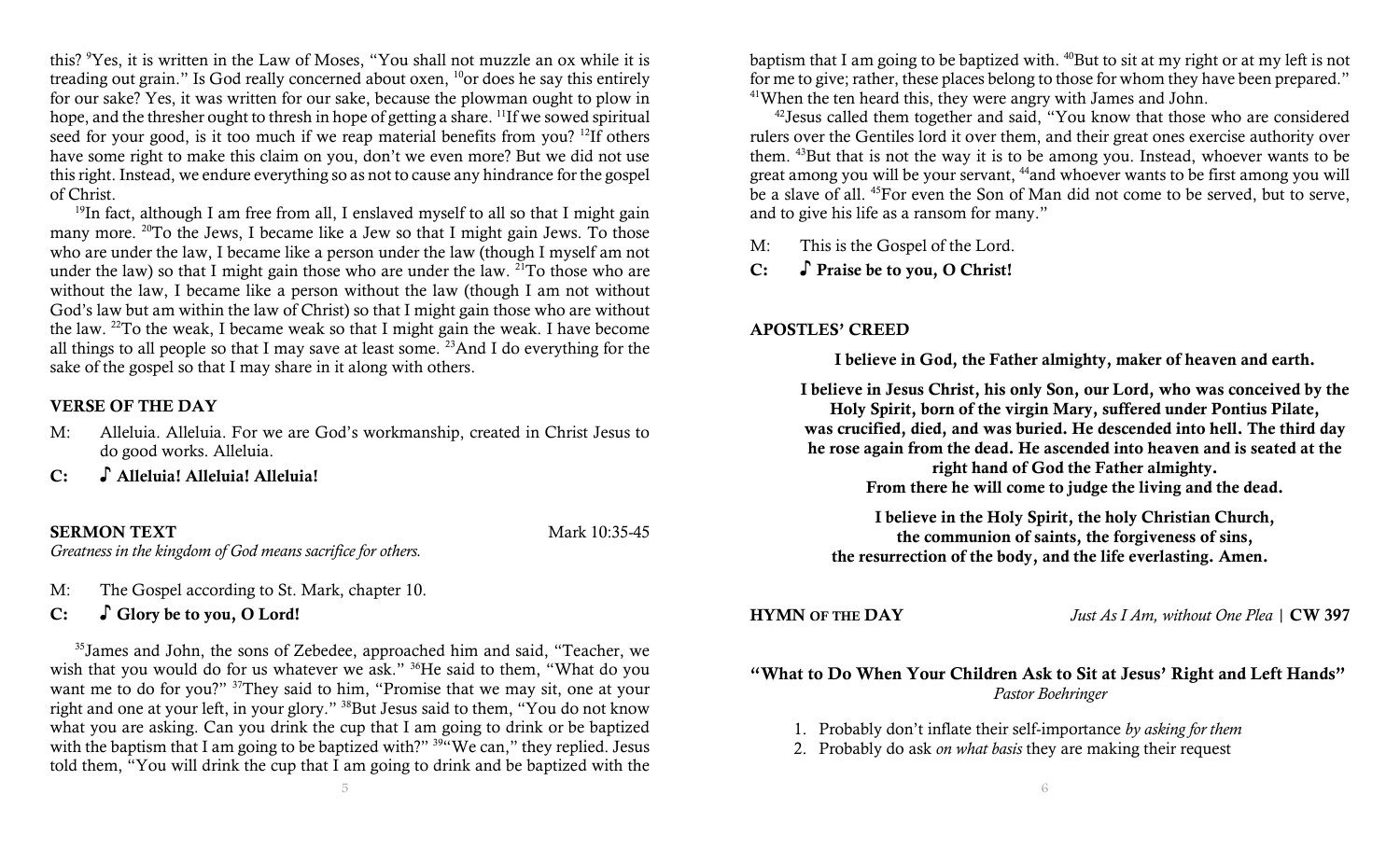this? <sup>9</sup>Yes, it is written in the Law of Moses, "You shall not muzzle an ox while it is treading out grain." Is God really concerned about oxen,  $^{10}$ or does he say this entirely for our sake? Yes, it was written for our sake, because the plowman ought to plow in hope, and the thresher ought to thresh in hope of getting a share. <sup>11</sup>If we sowed spiritual seed for your good, is it too much if we reap material benefits from you? <sup>12</sup>If others have some right to make this claim on you, don't we even more? But we did not use this right. Instead, we endure everything so as not to cause any hindrance for the gospel of Christ.

 $19$ In fact, although I am free from all, I enslaved myself to all so that I might gain many more. <sup>20</sup>To the Jews, I became like a Jew so that I might gain Jews. To those who are under the law, I became like a person under the law (though I myself am not under the law) so that I might gain those who are under the law. <sup>21</sup>To those who are without the law, I became like a person without the law (though I am not without God's law but am within the law of Christ) so that I might gain those who are without the law. <sup>22</sup>To the weak, I became weak so that I might gain the weak. I have become all things to all people so that I may save at least some.  $23$ And I do everything for the sake of the gospel so that I may share in it along with others.

## VERSE OF THE DAY

- M: Alleluia. Alleluia. For we are God's workmanship, created in Christ Jesus to do good works. Alleluia.
- C: ♪ Alleluia! Alleluia! Alleluia!

### SERMON TEXT Mark 10:35-45

Greatness in the kingdom of God means sacrifice for others.

M: The Gospel according to St. Mark, chapter 10.

# C: ○ Glory be to you, O Lord!

<sup>35</sup>James and John, the sons of Zebedee, approached him and said, "Teacher, we wish that you would do for us whatever we ask." <sup>36</sup>He said to them, "What do you want me to do for you?" <sup>37</sup>They said to him, "Promise that we may sit, one at your right and one at your left, in your glory." <sup>38</sup>But Jesus said to them, "You do not know what you are asking. Can you drink the cup that I am going to drink or be baptized with the baptism that I am going to be baptized with?" <sup>39"</sup>We can," they replied. Jesus told them, "You will drink the cup that I am going to drink and be baptized with the

5

baptism that I am going to be baptized with. <sup>40</sup>But to sit at my right or at my left is not for me to give; rather, these places belong to those for whom they have been prepared." <sup>41</sup>When the ten heard this, they were angry with James and John.

<sup>42</sup>Jesus called them together and said, "You know that those who are considered rulers over the Gentiles lord it over them, and their great ones exercise authority over them. <sup>43</sup>But that is not the way it is to be among you. Instead, whoever wants to be great among you will be your servant, <sup>44</sup>and whoever wants to be first among you will be a slave of all. <sup>45</sup>For even the Son of Man did not come to be served, but to serve, and to give his life as a ransom for many."

M: This is the Gospel of the Lord.

C: ♪ Praise be to you, O Christ!

### APOSTLES' CREED

I believe in God, the Father almighty, maker of heaven and earth.

I believe in Jesus Christ, his only Son, our Lord, who was conceived by the Holy Spirit, born of the virgin Mary, suffered under Pontius Pilate, was crucified, died, and was buried. He descended into hell. The third day he rose again from the dead. He ascended into heaven and is seated at the right hand of God the Father almighty. From there he will come to judge the living and the dead.

I believe in the Holy Spirit, the holy Christian Church, the communion of saints, the forgiveness of sins, the resurrection of the body, and the life everlasting. Amen.

HYMN OF THE DAY *Just As I Am, without One Plea* | CW 397

# "What to Do When Your Children Ask to Sit at Jesus' Right and Left Hands" Pastor Boehringer

1. Probably don't inflate their self-importance by asking for them

2. Probably do ask *on what basis* they are making their request